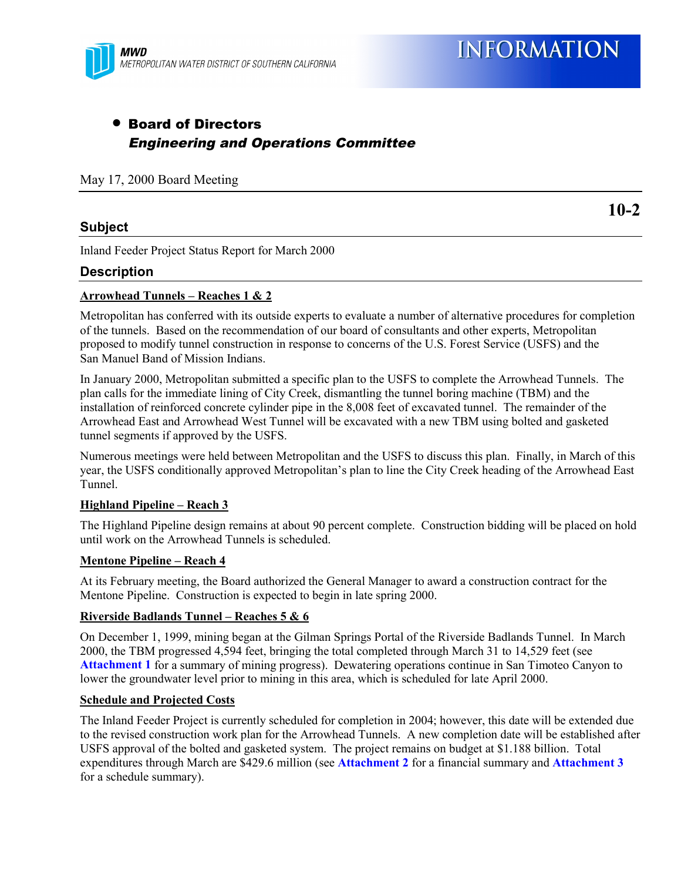

**10-2**

## • Board of Directors Engineering and Operations Committee

May 17, 2000 Board Meeting

## **Subject**

Inland Feeder Project Status Report for March 2000

## **Description**

#### **Arrowhead Tunnels – Reaches 1 & 2**

Metropolitan has conferred with its outside experts to evaluate a number of alternative procedures for completion of the tunnels. Based on the recommendation of our board of consultants and other experts, Metropolitan proposed to modify tunnel construction in response to concerns of the U.S. Forest Service (USFS) and the San Manuel Band of Mission Indians.

In January 2000, Metropolitan submitted a specific plan to the USFS to complete the Arrowhead Tunnels. The plan calls for the immediate lining of City Creek, dismantling the tunnel boring machine (TBM) and the installation of reinforced concrete cylinder pipe in the 8,008 feet of excavated tunnel. The remainder of the Arrowhead East and Arrowhead West Tunnel will be excavated with a new TBM using bolted and gasketed tunnel segments if approved by the USFS.

Numerous meetings were held between Metropolitan and the USFS to discuss this plan. Finally, in March of this year, the USFS conditionally approved Metropolitan's plan to line the City Creek heading of the Arrowhead East Tunnel.

#### **Highland Pipeline – Reach 3**

The Highland Pipeline design remains at about 90 percent complete. Construction bidding will be placed on hold until work on the Arrowhead Tunnels is scheduled.

#### **Mentone Pipeline – Reach 4**

At its February meeting, the Board authorized the General Manager to award a construction contract for the Mentone Pipeline. Construction is expected to begin in late spring 2000.

#### **Riverside Badlands Tunnel – Reaches 5 & 6**

On December 1, 1999, mining began at the Gilman Springs Portal of the Riverside Badlands Tunnel. In March 2000, the TBM progressed 4,594 feet, bringing the total completed through March 31 to 14,529 feet (see **Attachment 1** for a summary of mining progress). Dewatering operations continue in San Timoteo Canyon to lower the groundwater level prior to mining in this area, which is scheduled for late April 2000.

#### **Schedule and Projected Costs**

The Inland Feeder Project is currently scheduled for completion in 2004; however, this date will be extended due to the revised construction work plan for the Arrowhead Tunnels. A new completion date will be established after USFS approval of the bolted and gasketed system. The project remains on budget at \$1.188 billion. Total expenditures through March are \$429.6 million (see **Attachment 2** for a financial summary and **Attachment 3** for a schedule summary).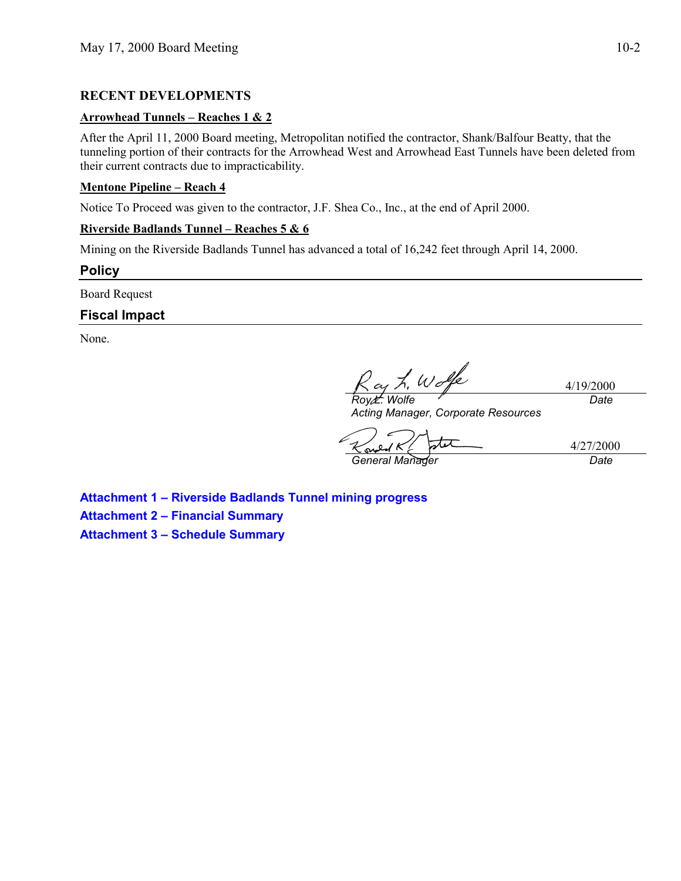## **RECENT DEVELOPMENTS**

### **Arrowhead Tunnels – Reaches 1 & 2**

After the April 11, 2000 Board meeting, Metropolitan notified the contractor, Shank/Balfour Beatty, that the tunneling portion of their contracts for the Arrowhead West and Arrowhead East Tunnels have been deleted from their current contracts due to impracticability.

## **Mentone Pipeline – Reach 4**

Notice To Proceed was given to the contractor, J.F. Shea Co., Inc., at the end of April 2000.

## **Riverside Badlands Tunnel – Reaches 5 & 6**

Mining on the Riverside Badlands Tunnel has advanced a total of 16,242 feet through April 14, 2000.

**Policy**

Board Request

## **Fiscal Impact**

None.

*Roy L. Wolfe*

4/19/2000 *Date*

*Acting Manager, Corporate Resources*

4/27/2000 *General Manager Date*

**Attachment 1 – Riverside Badlands Tunnel mining progress Attachment 2 – Financial Summary Attachment 3 – Schedule Summary**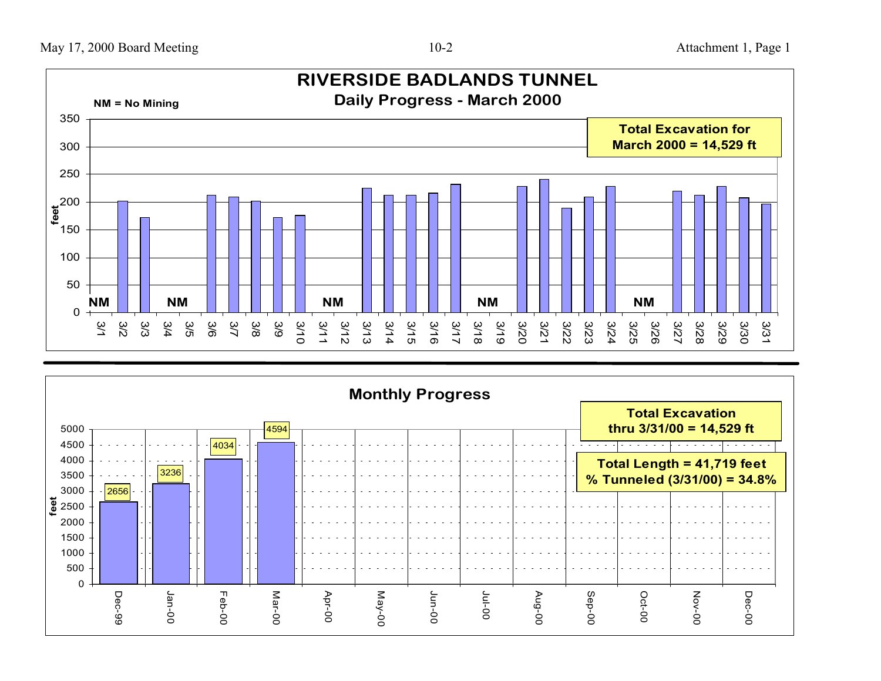

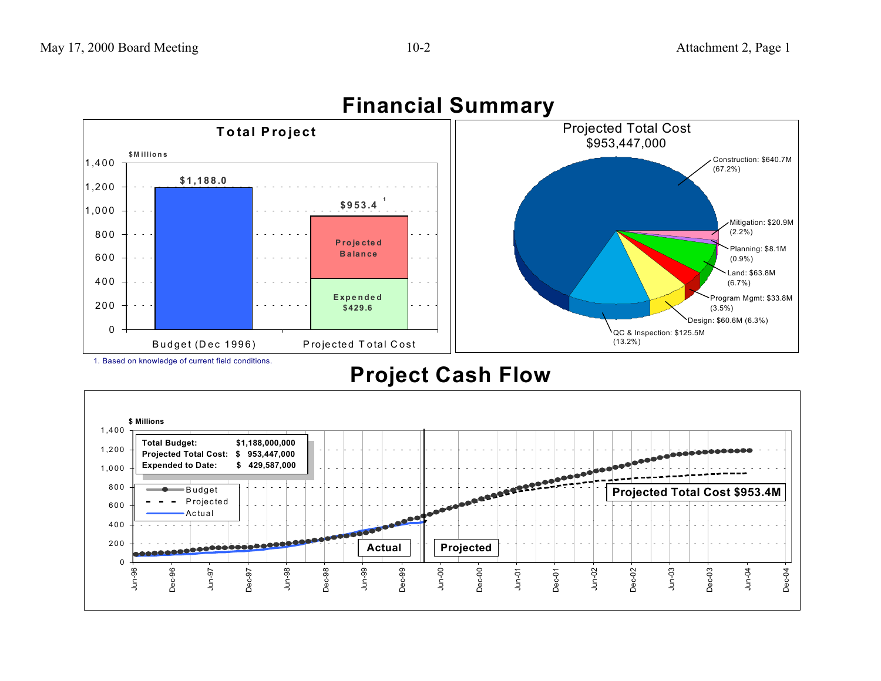

# **Financial Summary**